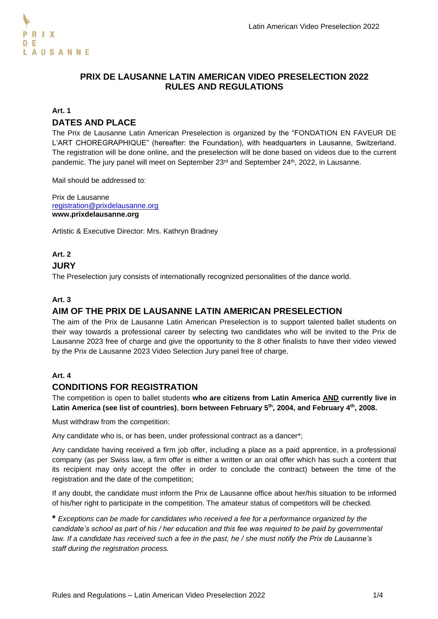### **PRIX DE LAUSANNE LATIN AMERICAN VIDEO PRESELECTION 2022 RULES AND REGULATIONS**

#### **Art. 1**

### **DATES AND PLACE**

The Prix de Lausanne Latin American Preselection is organized by the "FONDATION EN FAVEUR DE L'ART CHOREGRAPHIQUE" (hereafter: the Foundation), with headquarters in Lausanne, Switzerland. The registration will be done online, and the preselection will be done based on videos due to the current pandemic. The jury panel will meet on September 23<sup>rd</sup> and September 24<sup>th</sup>, 2022, in Lausanne.

Mail should be addressed to:

Prix de Lausanne registration@prixdelausanne.org **[www.prixdelausanne.org](http://www.prixdelausanne.org/)**

Artistic & Executive Director: Mrs. Kathryn Bradney

# **Art. 2**

### **JURY**

The Preselection jury consists of internationally recognized personalities of the dance world.

#### **Art. 3**

### **AIM OF THE PRIX DE LAUSANNE LATIN AMERICAN PRESELECTION**

The aim of the Prix de Lausanne Latin American Preselection is to support talented ballet students on their way towards a professional career by selecting two candidates who will be invited to the Prix de Lausanne 2023 free of charge and give the opportunity to the 8 other finalists to have their video viewed by the Prix de Lausanne 2023 Video Selection Jury panel free of charge.

### **Art. 4**

#### **CONDITIONS FOR REGISTRATION**

The competition is open to ballet students **who are citizens from Latin America AND currently live in Latin America (see list of countries)**, **born between February 5 th, 2004, and February 4th, 2008.** 

Must withdraw from the competition:

Any candidate who is, or has been, under professional contract as a dancer\*;

Any candidate having received a firm job offer, including a place as a paid apprentice, in a professional company (as per Swiss law, a firm offer is either a written or an oral offer which has such a content that its recipient may only accept the offer in order to conclude the contract) between the time of the registration and the date of the competition;

If any doubt, the candidate must inform the Prix de Lausanne office about her/his situation to be informed of his/her right to participate in the competition. The amateur status of competitors will be checked.

**\*** *Exceptions can be made for candidates who received a fee for a performance organized by the candidate's school as part of his / her education and this fee was required to be paid by governmental law. If a candidate has received such a fee in the past, he / she must notify the Prix de Lausanne's staff during the registration process.*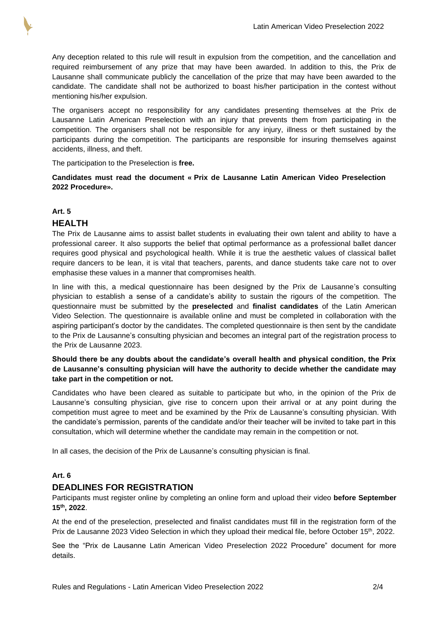

Any deception related to this rule will result in expulsion from the competition, and the cancellation and required reimbursement of any prize that may have been awarded. In addition to this, the Prix de Lausanne shall communicate publicly the cancellation of the prize that may have been awarded to the candidate. The candidate shall not be authorized to boast his/her participation in the contest without mentioning his/her expulsion.

The organisers accept no responsibility for any candidates presenting themselves at the Prix de Lausanne Latin American Preselection with an injury that prevents them from participating in the competition. The organisers shall not be responsible for any injury, illness or theft sustained by the participants during the competition. The participants are responsible for insuring themselves against accidents, illness, and theft.

The participation to the Preselection is **free.**

**Candidates must read the document « Prix de Lausanne Latin American Video Preselection 2022 Procedure».**

## **Art. 5 HEALTH**

The Prix de Lausanne aims to assist ballet students in evaluating their own talent and ability to have a professional career. It also supports the belief that optimal performance as a professional ballet dancer requires good physical and psychological health. While it is true the aesthetic values of classical ballet require dancers to be lean, it is vital that teachers, parents, and dance students take care not to over emphasise these values in a manner that compromises health.

In line with this, a medical questionnaire has been designed by the Prix de Lausanne's consulting physician to establish a sense of a candidate's ability to sustain the rigours of the competition. The questionnaire must be submitted by the **preselected** and **finalist candidates** of the Latin American Video Selection. The questionnaire is available online and must be completed in collaboration with the aspiring participant's doctor by the candidates. The completed questionnaire is then sent by the candidate to the Prix de Lausanne's consulting physician and becomes an integral part of the registration process to the Prix de Lausanne 2023.

#### **Should there be any doubts about the candidate's overall health and physical condition, the Prix de Lausanne's consulting physician will have the authority to decide whether the candidate may take part in the competition or not.**

Candidates who have been cleared as suitable to participate but who, in the opinion of the Prix de Lausanne's consulting physician, give rise to concern upon their arrival or at any point during the competition must agree to meet and be examined by the Prix de Lausanne's consulting physician. With the candidate's permission, parents of the candidate and/or their teacher will be invited to take part in this consultation, which will determine whether the candidate may remain in the competition or not.

In all cases, the decision of the Prix de Lausanne's consulting physician is final.

### **Art. 6**

### **DEADLINES FOR REGISTRATION**

Participants must register online by completing an online form and upload their video **before September 15th , 2022**.

At the end of the preselection, preselected and finalist candidates must fill in the registration form of the Prix de Lausanne 2023 Video Selection in which they upload their medical file, before October 15<sup>th</sup>, 2022.

See the "Prix de Lausanne Latin American Video Preselection 2022 Procedure" document for more details.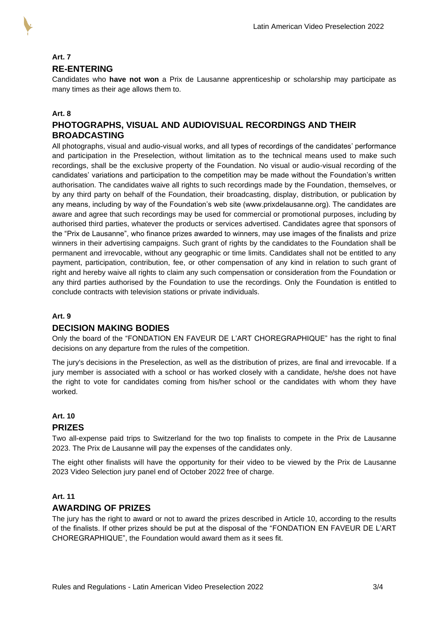

# **Art. 7 RE-ENTERING**

Candidates who **have not won** a Prix de Lausanne apprenticeship or scholarship may participate as many times as their age allows them to.

### **Art. 8**

### **PHOTOGRAPHS, VISUAL AND AUDIOVISUAL RECORDINGS AND THEIR BROADCASTING**

All photographs, visual and audio-visual works, and all types of recordings of the candidates' performance and participation in the Preselection, without limitation as to the technical means used to make such recordings, shall be the exclusive property of the Foundation. No visual or audio-visual recording of the candidates' variations and participation to the competition may be made without the Foundation's written authorisation. The candidates waive all rights to such recordings made by the Foundation, themselves, or by any third party on behalf of the Foundation, their broadcasting, display, distribution, or publication by any means, including by way of the Foundation's web site (www.prixdelausanne.org). The candidates are aware and agree that such recordings may be used for commercial or promotional purposes, including by authorised third parties, whatever the products or services advertised. Candidates agree that sponsors of the "Prix de Lausanne", who finance prizes awarded to winners, may use images of the finalists and prize winners in their advertising campaigns. Such grant of rights by the candidates to the Foundation shall be permanent and irrevocable, without any geographic or time limits. Candidates shall not be entitled to any payment, participation, contribution, fee, or other compensation of any kind in relation to such grant of right and hereby waive all rights to claim any such compensation or consideration from the Foundation or any third parties authorised by the Foundation to use the recordings. Only the Foundation is entitled to conclude contracts with television stations or private individuals.

#### **Art. 9**

### **DECISION MAKING BODIES**

Only the board of the "FONDATION EN FAVEUR DE L'ART CHOREGRAPHIQUE" has the right to final decisions on any departure from the rules of the competition.

The jury's decisions in the Preselection, as well as the distribution of prizes, are final and irrevocable. If a jury member is associated with a school or has worked closely with a candidate, he/she does not have the right to vote for candidates coming from his/her school or the candidates with whom they have worked.

### **Art. 10 PRIZES**

Two all-expense paid trips to Switzerland for the two top finalists to compete in the Prix de Lausanne 2023. The Prix de Lausanne will pay the expenses of the candidates only.

The eight other finalists will have the opportunity for their video to be viewed by the Prix de Lausanne 2023 Video Selection jury panel end of October 2022 free of charge.

### **Art. 11**

### **AWARDING OF PRIZES**

The jury has the right to award or not to award the prizes described in Article 10, according to the results of the finalists. If other prizes should be put at the disposal of the "FONDATION EN FAVEUR DE L'ART CHOREGRAPHIQUE", the Foundation would award them as it sees fit.